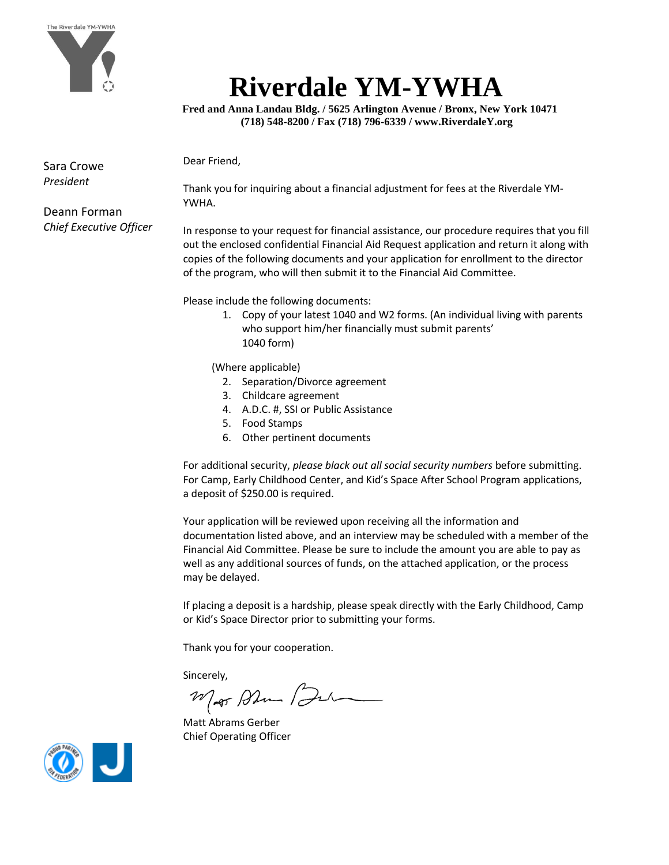

## **Riverdale YM-YWHA**

 **Fred and Anna Landau Bldg. / 5625 Arlington Avenue / Bronx, New York 10471 (718) 548-8200 / Fax (718) 796-6339 / www.RiverdaleY.org**

Dear Friend,

Sara Crowe *President*

Thank you for inquiring about a financial adjustment for fees at the Riverdale YM-YWHA.

Deann Forman *Chief Executive Officer*

In response to your request for financial assistance, our procedure requires that you fill out the enclosed confidential Financial Aid Request application and return it along with copies of the following documents and your application for enrollment to the director of the program, who will then submit it to the Financial Aid Committee.

Please include the following documents:

1. Copy of your latest 1040 and W2 forms. (An individual living with parents who support him/her financially must submit parents' 1040 form)

(Where applicable)

- 2. Separation/Divorce agreement
- 3. Childcare agreement
- 4. A.D.C. #, SSI or Public Assistance
- 5. Food Stamps
- 6. Other pertinent documents

For additional security, *please black out all social security numbers* before submitting. For Camp, Early Childhood Center, and Kid's Space After School Program applications, a deposit of \$250.00 is required.

Your application will be reviewed upon receiving all the information and documentation listed above, and an interview may be scheduled with a member of the Financial Aid Committee. Please be sure to include the amount you are able to pay as well as any additional sources of funds, on the attached application, or the process may be delayed.

If placing a deposit is a hardship, please speak directly with the Early Childhood, Camp or Kid's Space Director prior to submitting your forms.

Thank you for your cooperation.

Sincerely,

Mar Ahm Bu

Matt Abrams Gerber Chief Operating Officer

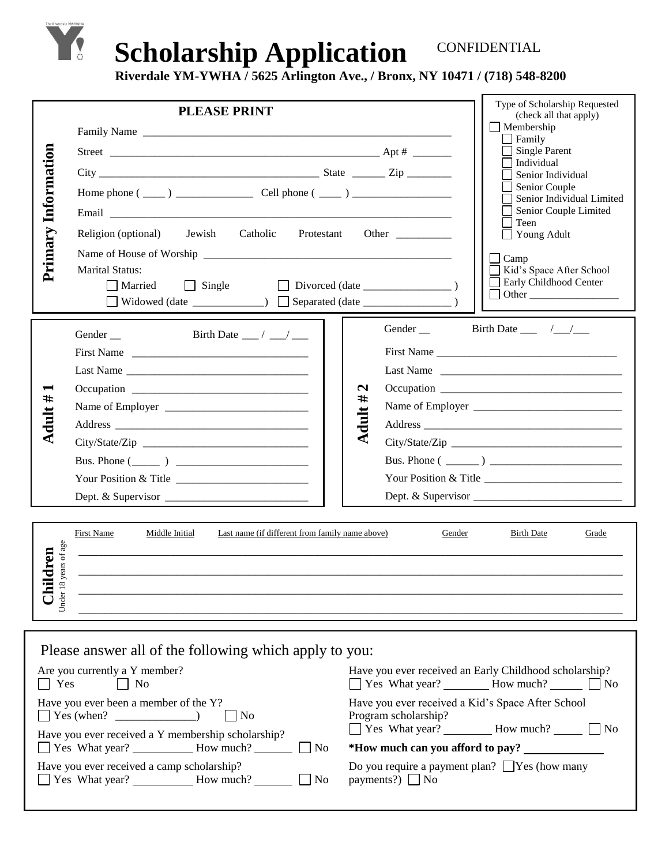## **Scholarship Application** CONFIDENTIAL

**Riverdale YM-YWHA / 5625 Arlington Ave., / Bronx, NY 10471 / (718) 548-8200**

| Information<br>Primary                                                                                                                                            | <b>PLEASE PRINT</b><br>Religion (optional) Jewish Catholic<br><b>Marital Status:</b><br>Married<br>$\Box$ Single<br>□ Widowed (date _______________) □ Separated (date _________________)                                                                                           |                              | Protestant Other                             | Type of Scholarship Requested<br>(check all that apply)<br>$\Box$ Membership<br>Family<br><b>Single Parent</b><br>Individual<br>Senior Individual<br>Senior Couple<br>Senior Individual Limited<br>Senior Couple Limited<br>Teen<br>$\Box$ Young Adult<br>Camp<br>Kid's Space After School<br>Early Childhood Center |  |  |  |
|-------------------------------------------------------------------------------------------------------------------------------------------------------------------|-------------------------------------------------------------------------------------------------------------------------------------------------------------------------------------------------------------------------------------------------------------------------------------|------------------------------|----------------------------------------------|----------------------------------------------------------------------------------------------------------------------------------------------------------------------------------------------------------------------------------------------------------------------------------------------------------------------|--|--|--|
| <b>Adult #</b>                                                                                                                                                    | Birth Date $\frac{\ }{\ }$ / $\frac{\ }{\ }$<br>Gender __<br>First Name<br>Last Name<br>Bus. Phone $(\_\_)$<br>Your Position & Title                                                                                                                                                | $\mathbf{N}$<br>#<br>Adult ; | Gender __                                    | Birth Date $\frac{\sqrt{1-\sqrt{1-\lambda^2}}}{}$<br>Last Name<br>Bus. Phone $(\_\_)$                                                                                                                                                                                                                                |  |  |  |
| First Name<br>Middle Initial<br>Last name (if different from family name above)<br>Gender<br><b>Birth Date</b><br>Grade<br>years of age<br>ldren<br>Under 18<br>Ö |                                                                                                                                                                                                                                                                                     |                              |                                              |                                                                                                                                                                                                                                                                                                                      |  |  |  |
| $\Box$ Yes                                                                                                                                                        | Please answer all of the following which apply to you:<br>Are you currently a Y member?<br>$\Box$ No<br>Have you ever been a member of the Y?<br>$\blacksquare$ No<br>Have you ever received a Y membership scholarship?<br>$\Box$ No<br>Have you ever received a camp scholarship? |                              | Program scholarship?<br>payments?) $\Box$ No | Have you ever received an Early Childhood scholarship?<br>■ Yes What year? How much? ■ No<br>Have you ever received a Kid's Space After School<br>■ Yes What year? How much? ■ No<br>*How much can you afford to pay?<br>Do you require a payment plan? $\Box$ Yes (how many                                         |  |  |  |